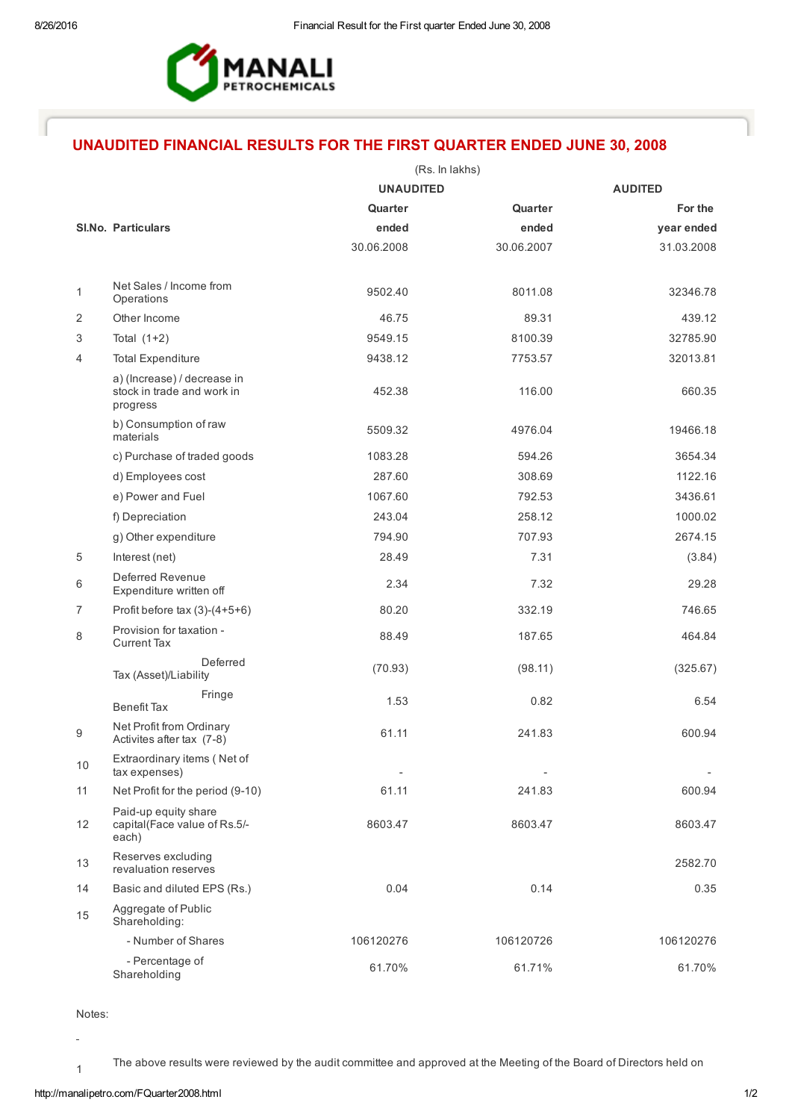

## UNAUDITED FINANCIAL RESULTS FOR THE FIRST QUARTER ENDED JUNE 30, 2008

|                |                                                                                                   | (Rs. In lakhs) |                              |                          |
|----------------|---------------------------------------------------------------------------------------------------|----------------|------------------------------|--------------------------|
|                | <b>UNAUDITED</b>                                                                                  |                |                              | <b>AUDITED</b>           |
|                |                                                                                                   | Quarter        | Quarter                      | For the                  |
|                | <b>SI.No. Particulars</b>                                                                         | ended          | ended                        | year ended               |
|                |                                                                                                   | 30.06.2008     | 30.06.2007                   | 31.03.2008               |
| 1              | Net Sales / Income from                                                                           | 9502.40        | 8011.08                      | 32346.78                 |
| 2              | Operations<br>Other Income                                                                        | 46.75          | 89.31                        | 439.12                   |
| 3              | Total $(1+2)$                                                                                     | 9549.15        | 8100.39                      | 32785.90                 |
|                |                                                                                                   | 9438.12        |                              | 32013.81                 |
| 4              | <b>Total Expenditure</b><br>a) (Increase) / decrease in<br>stock in trade and work in<br>progress | 452.38         | 7753.57<br>116.00            | 660.35                   |
|                | b) Consumption of raw<br>materials                                                                | 5509.32        | 4976.04                      | 19466.18                 |
|                | c) Purchase of traded goods                                                                       | 1083.28        | 594.26                       | 3654.34                  |
|                | d) Employees cost                                                                                 | 287.60         | 308.69                       | 1122.16                  |
|                | e) Power and Fuel                                                                                 | 1067.60        | 792.53                       | 3436.61                  |
|                | f) Depreciation                                                                                   | 243.04         | 258.12                       | 1000.02                  |
|                | g) Other expenditure                                                                              | 794.90         | 707.93                       | 2674.15                  |
| 5              | Interest (net)                                                                                    | 28.49          | 7.31                         | (3.84)                   |
| 6              | Deferred Revenue<br>Expenditure written off                                                       | 2.34           | 7.32                         | 29.28                    |
| $\overline{7}$ | Profit before tax $(3)-(4+5+6)$                                                                   | 80.20          | 332.19                       | 746.65                   |
| 8              | Provision for taxation -<br><b>Current Tax</b>                                                    | 88.49          | 187.65                       | 464.84                   |
|                | Deferred<br>Tax (Asset)/Liability                                                                 | (70.93)        | (98.11)                      | (325.67)                 |
|                | Fringe<br><b>Benefit Tax</b>                                                                      | 1.53           | 0.82                         | 6.54                     |
| 9              | Net Profit from Ordinary<br>Activites after tax (7-8)                                             | 61.11          | 241.83                       | 600.94                   |
| 10             | Extraordinary items (Net of<br>tax expenses)                                                      | $\blacksquare$ | $\qquad \qquad \blacksquare$ | $\overline{\phantom{a}}$ |
| 11             | Net Profit for the period (9-10)                                                                  | 61.11          | 241.83                       | 600.94                   |
| 12             | Paid-up equity share<br>capital(Face value of Rs.5/-<br>each)                                     | 8603.47        | 8603.47                      | 8603.47                  |
| 13             | Reserves excluding<br>revaluation reserves                                                        |                |                              | 2582.70                  |
| 14             | Basic and diluted EPS (Rs.)                                                                       | 0.04           | 0.14                         | 0.35                     |
| 15             | Aggregate of Public<br>Shareholding:                                                              |                |                              |                          |
|                | - Number of Shares                                                                                | 106120276      | 106120726                    | 106120276                |
|                | - Percentage of<br>Shareholding                                                                   | 61.70%         | 61.71%                       | 61.70%                   |

Notes:

1

 $\overline{a}$ 

The above results were reviewed by the audit committee and approved at the Meeting of the Board of Directors held on